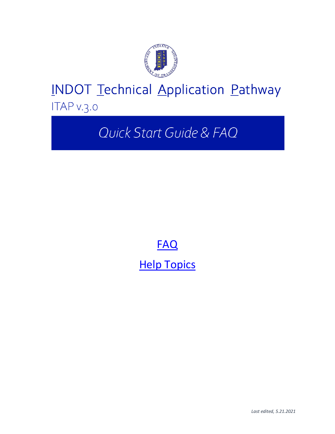

# **INDOT Technical Application Pathway** ITAP v.3.0

Quick Start Guide & FAQ

[FAQ](#page-1-0) **[Help Topics](#page-2-0)** 

*Last edited, 5.21.2021*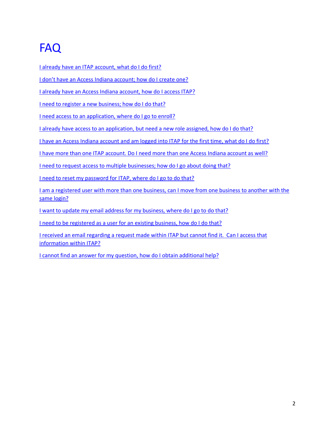# <span id="page-1-0"></span>FAQ

[I already have an ITAP account, what do I do first?](#page-3-0) 

I don't have an Access [Indiana account; how do I create one?](#page-3-0)

[I already have an Access Indiana account, how do I access ITAP?](#page-3-1)

[I need to register a new business; how do I do that?](#page-5-0)

[I need access to an application, where do I go to enroll?](#page-7-0)

[I already have access to an application, but need a new role assigned, how do I do that?](#page-7-0)

[I have an Access Indiana account and am logged into ITAP for the first time, what do I do first?](#page-6-0) 

[I have more than one ITAP account. Do I need more than one Access Indiana account as well?](#page-4-0)

[I need to request access to multiple businesses; how do I go about doing that?](#page-4-0) 

[I need to reset my password for ITAP, where do I go to do that?](#page-3-0)

[I am a registered user with more than one business, can I move from one business to another with the](#page-8-0)  [same login?](#page-8-0)

[I want to update my email address for my business, where do I go to do that?](#page-8-1)

[I need to be registered as a user for an existing business, how do I do that?](#page-5-0)

[I received an email regarding a request made within ITAP but cannot find it. Can I access that](#page-9-0)  [information within ITAP?](#page-9-0)

[I cannot find an answer for my question, how do I obtain additional help?](#page-9-1)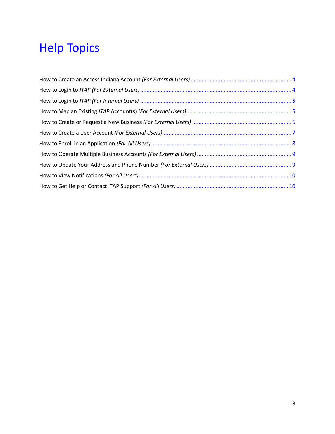# <span id="page-2-0"></span>**Help Topics**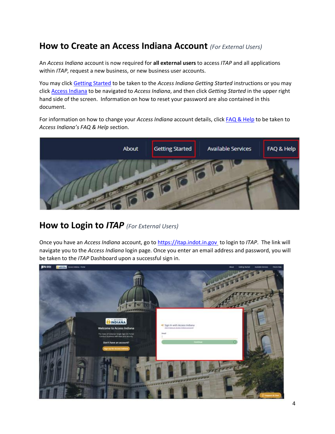# <span id="page-3-0"></span>**How to Create an Access Indiana Account** *(For External Users)*

An *Access Indiana* account is now required for **all external users** to access *ITAP* and all applications within *ITAP*, request a new business, or new business user accounts.

You may click [Getting Started](https://www.in.gov/access/getting-started.html) to be taken to the *Access Indiana Getting Started* instructions or you may click [Access Indiana](https://access.in.gov/signin/) to be navigated to *Access Indiana*, and then click *Getting Started* in the upper right hand side of the screen. Information on how to reset your password are also contained in this document.

For information on how to change your *Access Indiana* account details, click [FAQ & Help](https://www.in.gov/access/faqs-help.html) to be taken to *Access Indiana's FAQ & Help s*ection.



#### <span id="page-3-1"></span>**How to Login to** *ITAP (For External Users)*

Once you have an *Access Indiana* account, go to [https://itap.indot.in.gov](https://itap.indot.in.gov/) to login to *ITAP*. The link will navigate you to the *Access Indiana* login page. Once you enter an email address and password, you will be taken to the *ITAP* Dashboard upon a successful sign in.

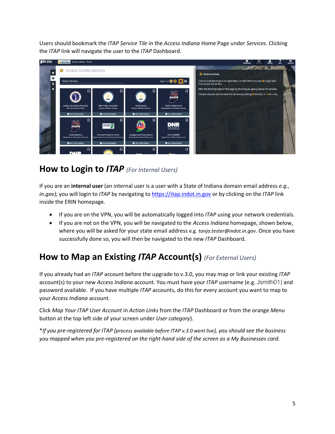Users should bookmark the *ITAP Service Tile* in the *Access Indiana* Home Page under *Services*. Clicking the *ITAP* link will navigate the user to the *ITAP* Dashboard.



#### <span id="page-4-1"></span>**How to Login to** *ITAP (For Internal Users)*

If you are an **internal user** (an internal user is a user with a State of Indiana domain email address *e.g., in.gov)*, you will login to *ITAP* by navigating t[o https://itap.indot.in.gov](https://itap.indot.in.gov/) or by clicking on the *ITAP* link inside the ERIN homepage.

- If you are on the VPN, you will be automatically logged into *ITAP* using your network credentials.
- If you are not on the VPN, you will be navigated to the *Access Indiana* homepage, shown below, where you will be asked for your state email address e.g. *tonja.tester@indot.in.gov*. Once you have successfully done so, you will then be navigated to the new *ITAP* Dashboard.

# <span id="page-4-0"></span>**How to Map an Existing** *ITAP* **Account(s)** *(For External Users)*

If you already had an *ITAP* account before the upgrade to v.3.0, you may map or link your existing *ITAP* account(s) to your new *Access Indiana* account. You must have your *ITAP* username (e.g. Jsmith01) and password available. If you have multiple *ITAP* accounts, do this for every account you want to map to your *Access Indiana* account.

Click *Map Your ITAP User Account* in *Action Links* from the *ITAP* Dashboard or from the orange *Menu*  button at the top left side of your screen under *User category*).

\**If you pre-registered for ITAP (process available before ITAP v.3.0 went live), you should see the business you mapped when you pre-registered on the right-hand side of the screen as a My Businesses card.*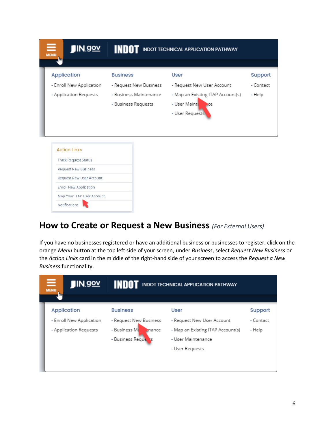| ≡<br><b>MENU</b><br>նո | JIN.90Y                     | INDO                   | <b>INDOT TECHNICAL APPLICATION PATHWAY</b> |           |
|------------------------|-----------------------------|------------------------|--------------------------------------------|-----------|
|                        |                             |                        |                                            |           |
|                        | Application                 | <b>Business</b>        | User                                       | Support   |
|                        | - Enroll New Application    | - Request New Business | - Request New User Account                 | - Contact |
|                        | - Application Requests      | - Business Maintenance | - Map an Existing ITAP Account(s)          | - Help    |
|                        |                             | - Business Requests    | - User Mainte<br>kce                       |           |
|                        |                             |                        | - User Requests                            |           |
|                        |                             |                        |                                            |           |
|                        | <b>Action Links</b>         |                        |                                            |           |
|                        | <b>Track Request Status</b> |                        |                                            |           |
|                        | <b>Request New Business</b> |                        |                                            |           |
|                        | Request New User Account    |                        |                                            |           |
|                        | Enroll New Application      |                        |                                            |           |
|                        | Map Your ITAP User Account  |                        |                                            |           |
|                        | Notifications               |                        |                                            |           |

#### <span id="page-5-0"></span>**How to Create or Request a New Business** *(For External Users)*

If you have no businesses registered or have an additional business or businesses to register, click on the orange *Menu* button at the top left side of your screen, under *Business*, select *Request New Business* or the *Action Links* card in the middle of the right-hand side of your screen to access the *Request a New Business* functionality.

| $\equiv$<br><b>MENU</b> | <b>JIN.90Y</b><br>Ҧ      | TNTI.                   | <b>INDOT TECHNICAL APPLICATION PATHWAY</b> |           |
|-------------------------|--------------------------|-------------------------|--------------------------------------------|-----------|
|                         |                          |                         |                                            |           |
|                         | Application              | <b>Business</b>         | User                                       | Support   |
|                         | - Enroll New Application | - Request New Business  | - Request New User Account                 | - Contact |
|                         | - Application Requests   | - Business Ma<br>enance | - Map an Existing ITAP Account(s)          | - Help    |
|                         |                          | - Business Reque<br>١s  | - User Maintenance                         |           |
|                         |                          |                         | - User Requests                            |           |
|                         |                          |                         |                                            |           |
|                         |                          |                         |                                            |           |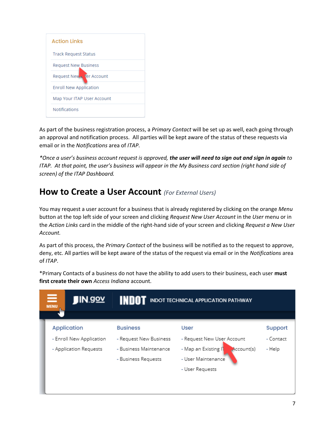

As part of the business registration process, a *Primary Contact* will be set up as well, each going through an approval and notification process. All parties will be kept aware of the status of these requests via email or in the *Notifications* area of *ITAP*.

*\*Once a user's business account request is approved, the user will need to sign out and sign in again to ITAP. At that point, the user's business will appear in the My Business card section (right hand side of screen) of the ITAP Dashboard.* 

# <span id="page-6-0"></span>**How to Create a User Account** *(For External Users)*

You may request a user account for a business that is already registered by clicking on the orange *Menu*  button at the top left side of your screen and clicking *Request New User Account* in the *User* menu or in the *Action Links* card in the middle of the right-hand side of your screen and clicking *Request a New User Account.* 

As part of this process, the *Primary Contact* of the business will be notified as to the request to approve, deny, etc. All parties will be kept aware of the status of the request via email or in the *Notifications* area of *ITAP*.

\*Primary Contacts of a business do not have the ability to add users to their business, each user **must first create their own** *Access Indiana* account.

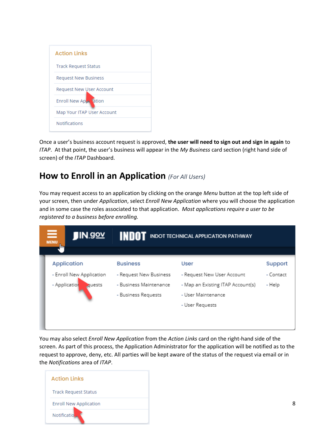| <b>Action Links</b>                |  |  |
|------------------------------------|--|--|
| <b>Track Request Status</b>        |  |  |
| <b>Request New Business</b>        |  |  |
| Request New User Account           |  |  |
| Enroll New Ap <sub>21</sub> tation |  |  |
| Map Your ITAP User Account         |  |  |
| Notifications                      |  |  |

Once a user's business account request is approved, **the user will need to sign out and sign in again** to *ITAP*. At that point, the user's business will appear in the *My Business* card section (right hand side of screen) of the *ITAP* Dashboard.

## <span id="page-7-0"></span>**How to Enroll in an Application** *(For All Users)*

You may request access to an application by clicking on the orange *Menu* button at the top left side of your screen, then under *Application*, select *Enroll New Application* where you will choose the application and in some case the roles associated to that application. *Most applications require a user to be registered to a business before enrolling.* 



You may also select *Enroll New Application* from the *Action Links* card on the right-hand side of the screen. As part of this process, the Application Administrator for the application will be notified as to the request to approve, deny, etc. All parties will be kept aware of the status of the request via email or in the *Notifications* area of *ITAP*.

| <b>Action Links</b>           |
|-------------------------------|
| <b>Track Request Status</b>   |
| <b>Enroll New Application</b> |
| Notificatio                   |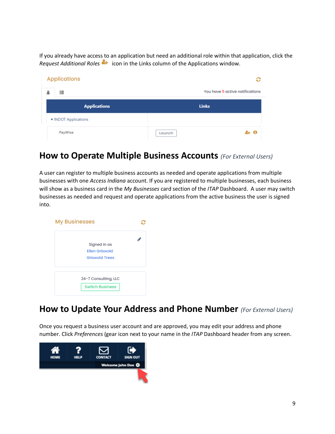If you already have access to an application but need an additional role within that application, click the *Request Additional Roles*  $\mathbb{R}^+$  icon in the Links column of the Applications window.

| <b>Applications</b>  | c                               |  |  |
|----------------------|---------------------------------|--|--|
| ₩                    | You have 5 active notifications |  |  |
| <b>Applications</b>  | <b>Links</b>                    |  |  |
| ▼ INDOT Applications |                                 |  |  |
| PayWise              | 2+ O<br>Launch                  |  |  |

## <span id="page-8-0"></span>**How to Operate Multiple Business Accounts** *(For External Users)*

A user can register to multiple business accounts as needed and operate applications from multiple businesses with one *Access Indiana* account. If you are registered to multiple businesses, each business will show as a business card in the *My Businesses* card section of the *ITAP* Dashboard. A user may switch businesses as needed and request and operate applications from the active business the user is signed into.



## <span id="page-8-1"></span>**How to Update Your Address and Phone Number** *(For External Users)*

Once you request a business user account and are approved, you may edit your address and phone number. Click *Preferences* (gear icon next to your name in the *ITAP* Dashboard header from any screen.